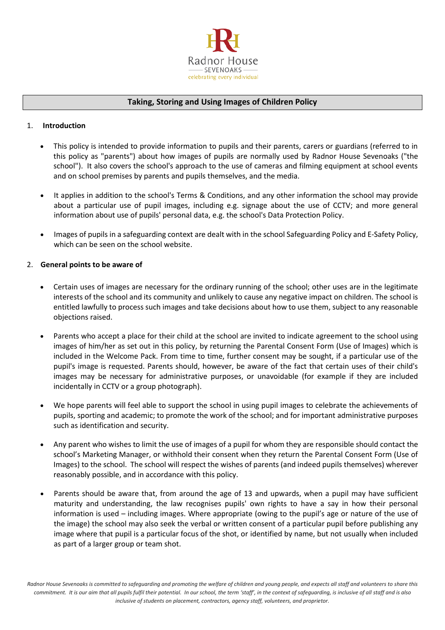

# **Taking, Storing and Using Images of Children Policy**

### 1. **Introduction**

- This policy is intended to provide information to pupils and their parents, carers or guardians (referred to in this policy as "parents") about how images of pupils are normally used by Radnor House Sevenoaks ("the school"). It also covers the school's approach to the use of cameras and filming equipment at school events and on school premises by parents and pupils themselves, and the media.
- It applies in addition to the school's Terms & Conditions, and any other information the school may provide about a particular use of pupil images, including e.g. signage about the use of CCTV; and more general information about use of pupils' personal data, e.g. the school's Data Protection Policy.
- Images of pupils in a safeguarding context are dealt with in the school Safeguarding Policy and E-Safety Policy, which can be seen on the school website.

#### 2. **General points to be aware of**

- Certain uses of images are necessary for the ordinary running of the school; other uses are in the legitimate interests of the school and its community and unlikely to cause any negative impact on children. The school is entitled lawfully to process such images and take decisions about how to use them, subject to any reasonable objections raised.
- Parents who accept a place for their child at the school are invited to indicate agreement to the school using images of him/her as set out in this policy, by returning the Parental Consent Form (Use of Images) which is included in the Welcome Pack. From time to time, further consent may be sought, if a particular use of the pupil's image is requested. Parents should, however, be aware of the fact that certain uses of their child's images may be necessary for administrative purposes, or unavoidable (for example if they are included incidentally in CCTV or a group photograph).
- We hope parents will feel able to support the school in using pupil images to celebrate the achievements of pupils, sporting and academic; to promote the work of the school; and for important administrative purposes such as identification and security.
- Any parent who wishes to limit the use of images of a pupil for whom they are responsible should contact the school's Marketing Manager, or withhold their consent when they return the Parental Consent Form (Use of Images) to the school. The school will respect the wishes of parents (and indeed pupils themselves) wherever reasonably possible, and in accordance with this policy.
- Parents should be aware that, from around the age of 13 and upwards, when a pupil may have sufficient maturity and understanding, the law recognises pupils' own rights to have a say in how their personal information is used – including images. Where appropriate (owing to the pupil's age or nature of the use of the image) the school may also seek the verbal or written consent of a particular pupil before publishing any image where that pupil is a particular focus of the shot, or identified by name, but not usually when included as part of a larger group or team shot.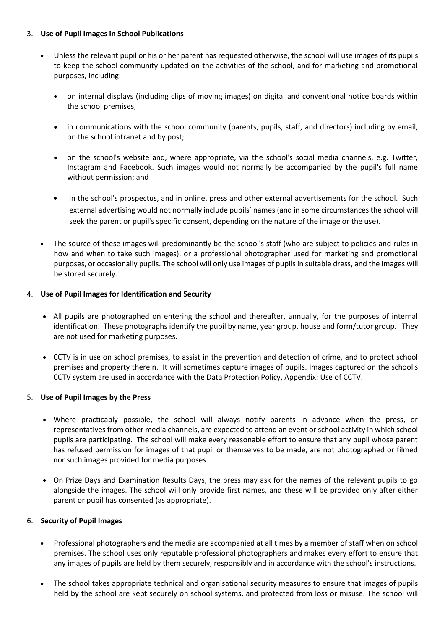### 3. **Use of Pupil Images in School Publications**

- Unless the relevant pupil or his or her parent has requested otherwise, the school will use images of its pupils to keep the school community updated on the activities of the school, and for marketing and promotional purposes, including:
	- on internal displays (including clips of moving images) on digital and conventional notice boards within the school premises;
	- in communications with the school community (parents, pupils, staff, and directors) including by email, on the school intranet and by post;
	- on the school's website and, where appropriate, via the school's social media channels, e.g. Twitter, Instagram and Facebook. Such images would not normally be accompanied by the pupil's full name without permission; and
	- in the school's prospectus, and in online, press and other external advertisements for the school. Such external advertising would not normally include pupils' names (and in some circumstances the school will seek the parent or pupil's specific consent, depending on the nature of the image or the use).
- The source of these images will predominantly be the school's staff (who are subject to policies and rules in how and when to take such images), or a professional photographer used for marketing and promotional purposes, or occasionally pupils. The school will only use images of pupils in suitable dress, and the images will be stored securely.

### 4. **Use of Pupil Images for Identification and Security**

- All pupils are photographed on entering the school and thereafter, annually, for the purposes of internal identification. These photographs identify the pupil by name, year group, house and form/tutor group. They are not used for marketing purposes.
- CCTV is in use on school premises, to assist in the prevention and detection of crime, and to protect school premises and property therein. It will sometimes capture images of pupils. Images captured on the school's CCTV system are used in accordance with the Data Protection Policy, Appendix: Use of CCTV.

## 5. **Use of Pupil Images by the Press**

- Where practicably possible, the school will always notify parents in advance when the press, or representatives from other media channels, are expected to attend an event or school activity in which school pupils are participating. The school will make every reasonable effort to ensure that any pupil whose parent has refused permission for images of that pupil or themselves to be made, are not photographed or filmed nor such images provided for media purposes.
- On Prize Days and Examination Results Days, the press may ask for the names of the relevant pupils to go alongside the images. The school will only provide first names, and these will be provided only after either parent or pupil has consented (as appropriate).

#### 6. **Security of Pupil Images**

- Professional photographers and the media are accompanied at all times by a member of staff when on school premises. The school uses only reputable professional photographers and makes every effort to ensure that any images of pupils are held by them securely, responsibly and in accordance with the school's instructions.
- The school takes appropriate technical and organisational security measures to ensure that images of pupils held by the school are kept securely on school systems, and protected from loss or misuse. The school will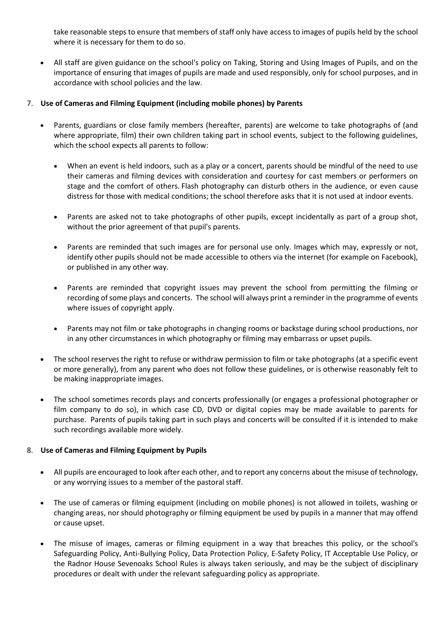take reasonable steps to ensure that members of staff only have access to images of pupils held by the school where it is necessary for them to do so.

 All staff are given guidance on the school's policy on Taking, Storing and Using Images of Pupils, and on the importance of ensuring that images of pupils are made and used responsibly, only for school purposes, and in accordance with school policies and the law.

# 7. **Use of Cameras and Filming Equipment (including mobile phones) by Parents**

- Parents, guardians or close family members (hereafter, parents) are welcome to take photographs of (and where appropriate, film) their own children taking part in school events, subject to the following guidelines, which the school expects all parents to follow:
	- When an event is held indoors, such as a play or a concert, parents should be mindful of the need to use their cameras and filming devices with consideration and courtesy for cast members or performers on stage and the comfort of others. Flash photography can disturb others in the audience, or even cause distress for those with medical conditions; the school therefore asks that it is not used at indoor events.
	- Parents are asked not to take photographs of other pupils, except incidentally as part of a group shot, without the prior agreement of that pupil's parents.
	- Parents are reminded that such images are for personal use only. Images which may, expressly or not, identify other pupils should not be made accessible to others via the internet (for example on Facebook), or published in any other way.
	- Parents are reminded that copyright issues may prevent the school from permitting the filming or recording of some plays and concerts. The school will always print a reminder in the programme of events where issues of copyright apply.
	- Parents may not film or take photographs in changing rooms or backstage during school productions, nor in any other circumstances in which photography or filming may embarrass or upset pupils.
- The school reserves the right to refuse or withdraw permission to film or take photographs (at a specific event or more generally), from any parent who does not follow these guidelines, or is otherwise reasonably felt to be making inappropriate images.
- The school sometimes records plays and concerts professionally (or engages a professional photographer or film company to do so), in which case CD, DVD or digital copies may be made available to parents for purchase. Parents of pupils taking part in such plays and concerts will be consulted if it is intended to make such recordings available more widely.

## 8. **Use of Cameras and Filming Equipment by Pupils**

- All pupils are encouraged to look after each other, and to report any concerns about the misuse of technology, or any worrying issues to a member of the pastoral staff.
- The use of cameras or filming equipment (including on mobile phones) is not allowed in toilets, washing or changing areas, nor should photography or filming equipment be used by pupils in a manner that may offend or cause upset.
- The misuse of images, cameras or filming equipment in a way that breaches this policy, or the school's Safeguarding Policy, Anti-Bullying Policy, Data Protection Policy, E-Safety Policy, IT Acceptable Use Policy, or the Radnor House Sevenoaks School Rules is always taken seriously, and may be the subject of disciplinary procedures or dealt with under the relevant safeguarding policy as appropriate.